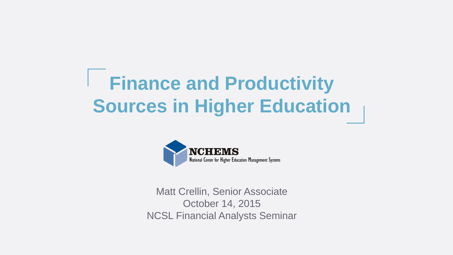# **Finance and Productivity Sources in Higher Education**



Matt Crellin, Senior Associate October 14, 2015 NCSL Financial Analysts Seminar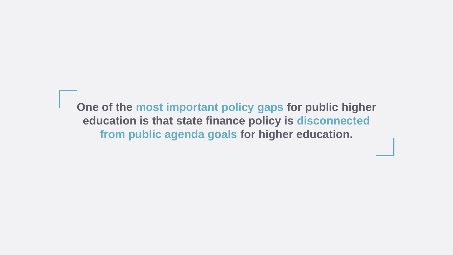**One of the most important policy gaps for public higher education is that state finance policy is disconnected from public agenda goals for higher education.**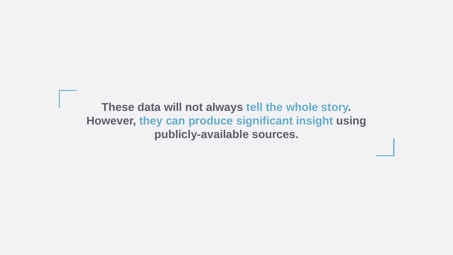#### **These data will not always tell the whole story. However, they can produce significant insight using publicly-available sources.**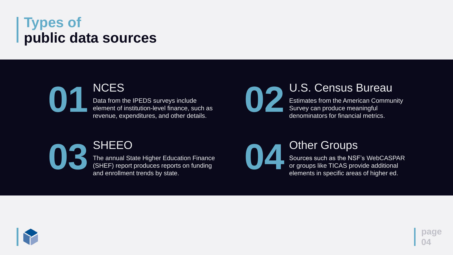### **Types of public data sources**

**page**

**04**

#### **01** NCES

Data from the IPEDS surveys include element of institution-level finance, such as revenue, expenditures, and other details.

# **03** SHEEO

The annual State Higher Education Finance (SHEF) report produces reports on funding and enrollment trends by state.





#### **02** U.S. Census Bureau

Estimates from the American Community Survey can produce meaningful denominators for financial metrics.

#### **Other Groups**

Sources such as the NSF's WebCASPAR or groups like TICAS provide additional elements in specific areas of higher ed.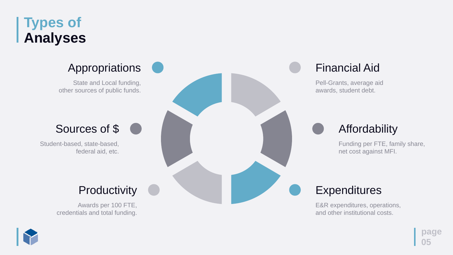### **Types of Analyses**

**page 05**

### Appropriations

State and Local funding, other sources of public funds.



#### Sources of \$

Student-based, state-based, federal aid, etc.

#### **Productivity**

Awards per 100 FTE, credentials and total funding.



### Financial Aid

Pell-Grants, average aid awards, student debt.



#### **Affordability**

E&R expenditures, operations, and other institutional costs.

Funding per FTE, family share, net cost against MFI.

### **Expenditures**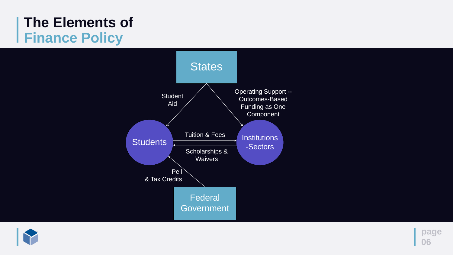### **The Elements of Finance Policy**





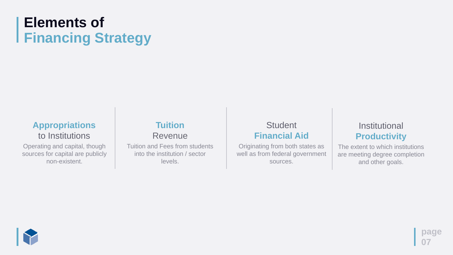## **Elements of Financing Strategy**

#### **Student Financial Aid**

**page**

**07**

Originating from both states as well as from federal government sources.



Tuition and Fees from students into the institution / sector levels.

#### **Institutional Productivity**

#### **Tuition** Revenue

Operating and capital, though sources for capital are publicly non-existent.

#### **Appropriations**  to Institutions

The extent to which institutions are meeting degree completion and other goals.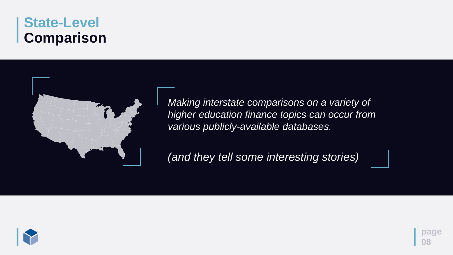### **State-Level Comparison**





*Making interstate comparisons on a variety of higher education finance topics can occur from various publicly-available databases.*

*(and they tell some interesting stories)*

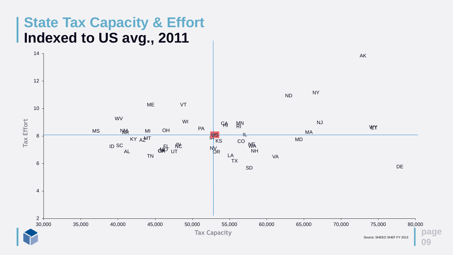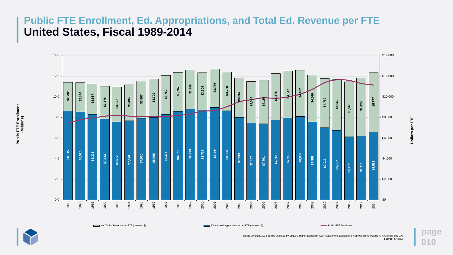**page**

**010**



Net Tuition Revenue per FTE (constant \$) **Educational Appropriations per FTE (constant \$)** Public FTE Enrollment Public FTE Enrollment



Dollars per FTE **Dollars per FTE**

**Public FTE Enrollment**

Public FTE Enrollment<br>(Millions)

**Note:** Constant 2014 dollars adjusted by SHEEO Higher Education Cost Adjustment. Educational Appropriations include ARRA funds. (HECA) **Source:** SHEEO

#### **Public FTE Enrollment, Ed. Appropriations, and Total Ed. Revenue per FTE United States, Fiscal 1989-2014**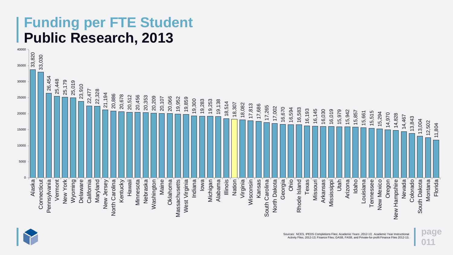### **Funding per FTE Student Public Research, 2013**

**page 011**



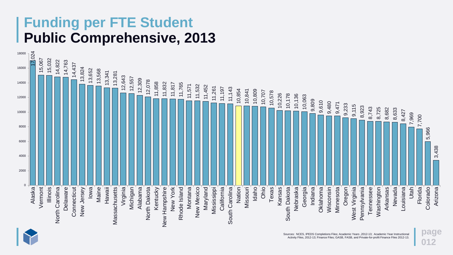### **Funding per FTE Student Public Comprehensive, 2013**

**page 012**



![](_page_11_Picture_2.jpeg)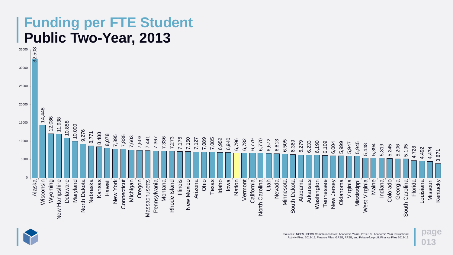### **Funding per FTE Student Public Two-Year, 2013**

**page 013**

![](_page_12_Figure_1.jpeg)

![](_page_12_Picture_2.jpeg)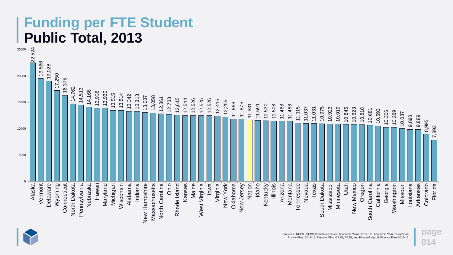### **Funding per FTE Student Public Total, 2013**

**page 014**

![](_page_13_Figure_1.jpeg)

![](_page_13_Picture_2.jpeg)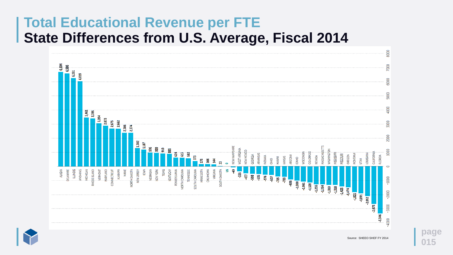### **Total Educational Revenue per FTE State Differences from U.S. Average, Fiscal 2014**

![](_page_14_Figure_1.jpeg)

![](_page_14_Picture_2.jpeg)

![](_page_14_Picture_4.jpeg)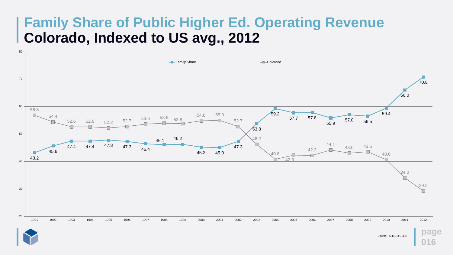### **Family Share of Public Higher Ed. Operating Revenue Colorado, Indexed to US avg., 2012**

![](_page_15_Figure_1.jpeg)

![](_page_15_Picture_2.jpeg)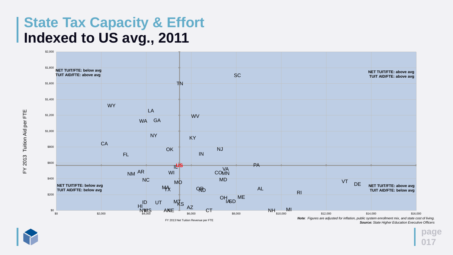### **State Tax Capacity & Effort Indexed to US avg., 2011**

**page 017**

FY 2013 Tuition Aid per FTE FY 2013 Tuition Aid per FTE

![](_page_16_Picture_4.jpeg)

![](_page_16_Figure_1.jpeg)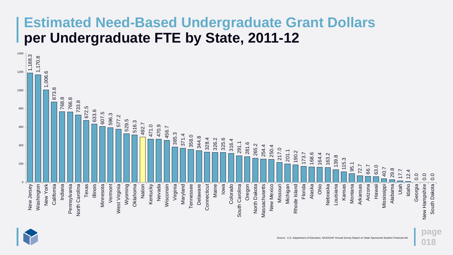### **Estimated Need-Based Undergraduate Grant Dollars per Undergraduate FTE by State, 2011-12**

**page 018**

![](_page_17_Figure_1.jpeg)

![](_page_17_Picture_2.jpeg)

Source: U.S. Department of Education, NASSGAP Annual Survey Report on State Sponsored Student Financial Aid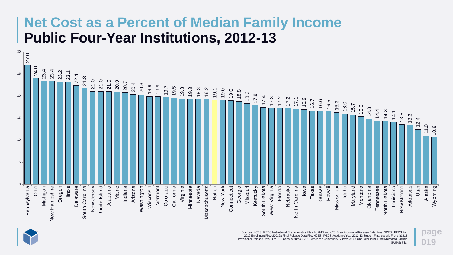### **Net Cost as a Percent of Median Family Income Public Four-Year Institutions, 2012-13**

**page 019**

![](_page_18_Figure_1.jpeg)

![](_page_18_Picture_4.jpeg)

Sources: NCES, IPEDS Institutional Characteristics Files; hd2013 and ic2013\_ay Provisional Release Data Files; NCES, IPEDS Fall 2012 Enrollment File; ef2012a Final Release Data File; NCES, IPEDS Academic Year 2012-13 Student Financial Aid File; sfa1213 Provisional Release Data File; U.S. Census Bureau, 2013 American Community Survey (ACS) One-Year Public Use Microdata Sample (PUMS) File.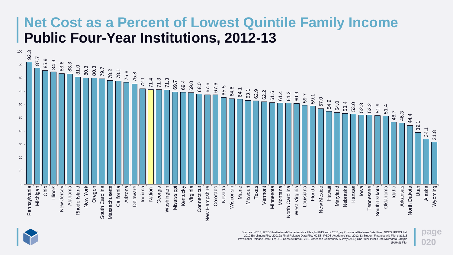### **Net Cost as a Percent of Lowest Quintile Family Income Public Four-Year Institutions, 2012-13**

**page 020**

Sources: NCES, IPEDS Institutional Characteristics Files; hd2013 and ic2013\_ay Provisional Release Data Files; NCES, IPEDS Fall 2012 Enrollment File; ef2012a Final Release Data File; NCES, IPEDS Academic Year 2012-13 Student Financial Aid File; sfa1213 Provisional Release Data File; U.S. Census Bureau, 2013 American Community Survey (ACS) One-Year Public Use Microdata Sample (PUMS) File.

![](_page_19_Figure_1.jpeg)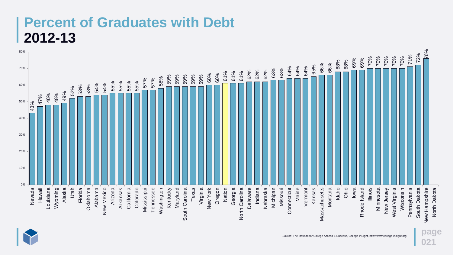### **Percent of Graduates with Debt 2012-13**

**page 021**

![](_page_20_Figure_1.jpeg)

![](_page_20_Picture_2.jpeg)

Source: The Institute for College Access & Success, College InSight, http://www.college-insight.org.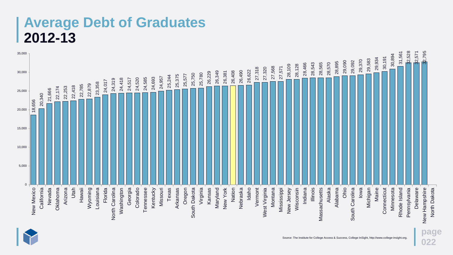### **Average Debt of Graduates 2012-13**

**022**

![](_page_21_Figure_1.jpeg)

![](_page_21_Picture_2.jpeg)

Source: The Institute for College Access & Success, College InSight, http://www.college-insight.org.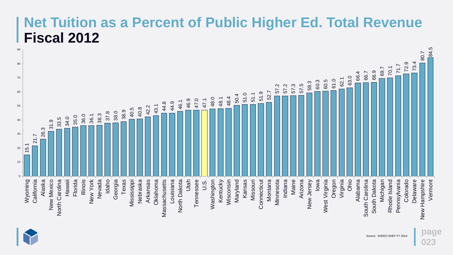### **Net Tuition as a Percent of Public Higher Ed. Total Revenue Fiscal 2012**

**page**

**023**

![](_page_22_Figure_1.jpeg)

![](_page_22_Picture_2.jpeg)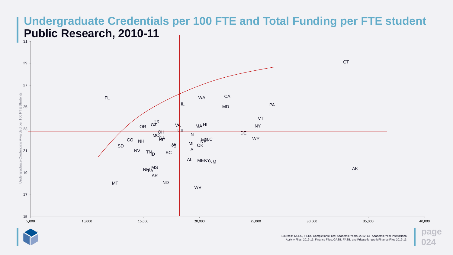#### **Undergraduate Credentials per 100 FTE and Total Funding per FTE student Public Research, 2010-11**

**page 024**

AK

![](_page_23_Figure_1.jpeg)

![](_page_23_Picture_2.jpeg)

**CT**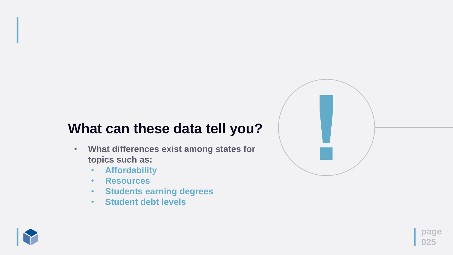### **What can these data tell you?**

![](_page_24_Picture_8.jpeg)

- **What differences exist among states for topics such as:**
	- **Affordability**
	- **Resources**
	- **Students earning degrees**
	- **Student debt levels**

![](_page_24_Picture_6.jpeg)

![](_page_24_Figure_7.jpeg)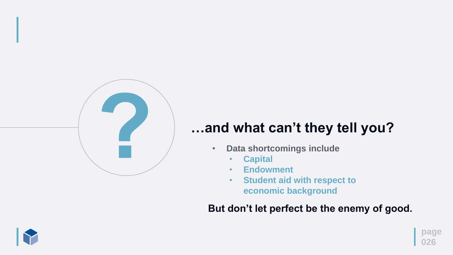**page**

**026**

## **…and what can't they tell you?**

- **Data shortcomings include**
	- **Capital**
	- **Endowment**
	-

![](_page_25_Picture_6.jpeg)

• **Student aid with respect to economic background**

**But don't let perfect be the enemy of good.**